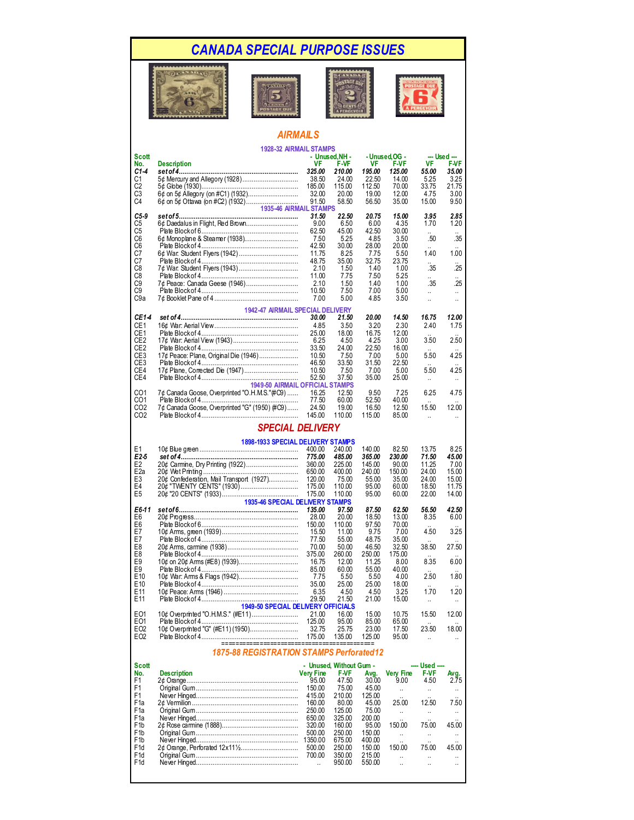## *CANADA SPECIAL PURPOSE ISSUES*









## *AIRMAILS* **1928-32 AIRMAIL STAMPS**

|                  | 1928-32 AIRMAIL STAMPS                        |                      |                         |        |                      |                      |                      |  |  |
|------------------|-----------------------------------------------|----------------------|-------------------------|--------|----------------------|----------------------|----------------------|--|--|
| Scott            |                                               |                      | - Unused, NH -          |        | - Unused OG -        |                      | --- Used ---         |  |  |
| No.              | <b>Description</b>                            | <b>VF</b>            | F-VF                    | VF     | F-VF                 | VF                   | <b>F-VF</b>          |  |  |
| C1-4             |                                               | 325.00               | 210.00                  | 195.00 | 125.00               | 55.00                | 35.00                |  |  |
| C1               | 5¢ Mercury and Allegory (1928)                | 38.50                | 24.00                   | 22.50  | 14.00                | 5.25                 | 3.25                 |  |  |
|                  |                                               |                      |                         |        |                      |                      |                      |  |  |
| C <sub>2</sub>   |                                               | 185.00               | 115.00                  | 112.50 | 70.00                | 33.75                | 21.75                |  |  |
| C <sub>3</sub>   | 6¢ on 5¢ Allegory (on #C1) (1932)             | 32.00                | 20.00                   | 19.00  | 12.00                | 4.75                 | 3.00                 |  |  |
| C4               |                                               | 91.50                | 58.50                   | 56.50  | 35.00                | 15.00                | 9.50                 |  |  |
|                  | 1935-46 AIRMAIL STAMPS                        |                      |                         |        |                      |                      |                      |  |  |
| C5-9             |                                               | 31.50                | 22.50                   | 20.75  | 15.00                | 3.95                 | 2.85                 |  |  |
|                  | 6¢ Daedalus in Flight, Red Brown              |                      |                         |        |                      |                      |                      |  |  |
| C5               |                                               | 9.00                 | 6.50                    | 6.00   | 4.35                 | 1.70                 | 1.20                 |  |  |
| C <sub>5</sub>   |                                               | 62.50                | 45.00                   | 42.50  | 30.00                |                      |                      |  |  |
| C <sub>6</sub>   |                                               | 7.50                 | 5.25                    | 4.85   | 3.50                 | .50                  | .35                  |  |  |
| C <sub>6</sub>   |                                               | 42.50                | 30.00                   | 28.00  | 20.00                |                      |                      |  |  |
| C7               |                                               | 11.75                | 8.25                    | 7.75   | 5.50                 | 1.40                 | 1.00                 |  |  |
|                  |                                               |                      |                         |        |                      |                      |                      |  |  |
| C7               |                                               | 48.75                | 35.00                   | 32.75  | 23.75                |                      |                      |  |  |
| C8               |                                               | 2.10                 | 1.50                    | 1.40   | 1.00                 | .35                  | .25                  |  |  |
| C8               |                                               | 11.00                | 7.75                    | 7.50   | 5.25                 | $\ddot{\phantom{a}}$ | $\ddot{\phantom{a}}$ |  |  |
| C <sub>9</sub>   | 7¢ Peace: Canada Geese (1946)                 | 2.10                 | 1.50                    | 1.40   | 1.00                 | .35                  | .25                  |  |  |
| C <sub>9</sub>   |                                               | 10.50                | 7.50                    | 7.00   | 5.00                 | u.                   | $\mathbf{H}$         |  |  |
| C9a              |                                               | 7.00                 | 5.00                    | 4.85   | 3.50                 |                      |                      |  |  |
|                  |                                               |                      |                         |        |                      | $\ddot{\phantom{a}}$ |                      |  |  |
|                  | 1942-47 AIRMAIL SPECIAL DELIVERY              |                      |                         |        |                      |                      |                      |  |  |
|                  |                                               |                      |                         |        |                      |                      |                      |  |  |
| CE1-4            |                                               | 30.00                | 21.50                   | 20.00  | 14.50                | 16.75                | 12.00                |  |  |
| CE <sub>1</sub>  |                                               | 4.85                 | 3.50                    | 3.20   | 2.30                 | 2.40                 | 1.75                 |  |  |
| CE <sub>1</sub>  |                                               | 25.00                | 18.00                   | 16.75  | 12.00                |                      |                      |  |  |
| CE <sub>2</sub>  |                                               | 6.25                 | 4.50                    | 4.25   | 3.00                 | 3.50                 | 2.50                 |  |  |
| CE <sub>2</sub>  |                                               | 33.50                | 24.00                   | 22.50  | 16.00                |                      |                      |  |  |
|                  |                                               |                      |                         |        |                      |                      | 4.25                 |  |  |
| CE3              | 17¢ Peace: Plane, Original Die (1946)         | 10.50                | 7.50                    | 7.00   | 5.00                 | 5.50                 |                      |  |  |
| CE3              |                                               | 46.50                | 33.50                   | 31.50  | 22.50                |                      |                      |  |  |
| CE4              | 17¢ Plane, Corrected Die (1947)               | 10.50                | 7.50                    | 7.00   | 5.00                 | 5.50                 | 4.25                 |  |  |
| CE4              |                                               | 52.50                | 37.50                   | 35.00  | 25.00                | $\ddot{\phantom{a}}$ |                      |  |  |
|                  | <b>1949-50 AIRMAIL OFFICIAL STAMPS</b>        |                      |                         |        |                      |                      |                      |  |  |
|                  |                                               |                      |                         |        |                      |                      |                      |  |  |
| CO <sub>1</sub>  | 7¢ Canada Goose, Overprinted "O.H.M.S." (#C9) | 16.25                | 12.50                   | 9.50   | 7.25                 | 6.25                 | 4.75                 |  |  |
| CO <sub>1</sub>  |                                               | 77.50                | 60.00                   | 52.50  | 40.00                |                      |                      |  |  |
| CO <sub>2</sub>  | 7¢ Canada Goose, Overprinted "G" (1950) (#C9) | 24.50                | 19.00                   | 16.50  | 12.50                | 15.50                | 12.00                |  |  |
| CO <sub>2</sub>  |                                               | 145.00               | 110.00                  | 115.00 | 85.00                |                      |                      |  |  |
|                  |                                               |                      |                         |        |                      |                      |                      |  |  |
|                  | <b>SPECIAL DELIVERY</b>                       |                      |                         |        |                      |                      |                      |  |  |
|                  |                                               |                      |                         |        |                      |                      |                      |  |  |
|                  |                                               |                      |                         |        |                      |                      |                      |  |  |
|                  | <b>1898-1933 SPECIAL DELIVERY STAMPS</b>      |                      |                         |        |                      |                      |                      |  |  |
| E1               |                                               | 400.00               | 240.00                  | 140.00 | 82.50                | 13.75                | 8.25                 |  |  |
| E2-5             |                                               | 775.00               | 485.00                  | 365.00 | 230.00               | 71.50                | 45.00                |  |  |
| E <sub>2</sub>   | 20¢ Carmine, Dry Printing (1922)              | 360.00               | 225.00                  | 145.00 | 90.00                | 11.25                | 7.00                 |  |  |
| E <sub>2</sub> a |                                               | 650.00               | 400.00                  | 240.00 | 150.00               | 24.00                | 15.00                |  |  |
|                  |                                               |                      |                         |        |                      |                      |                      |  |  |
| E3               | 20¢ Confederation, Mail Transport (1927)      | 120.00               | 75.00                   | 55.00  | 35.00                | 24.00                | 15.00                |  |  |
| E4               |                                               | 175.00               | 110.00                  | 95.00  | 60.00                | 18.50                | 11.75                |  |  |
| E <sub>5</sub>   |                                               | 175.00               | 110.00                  | 95.00  | 60.00                | 22.00                | 14.00                |  |  |
|                  | 1935-46 SPECIAL DELIVERY STAMPS               |                      |                         |        |                      |                      |                      |  |  |
| E6-11            |                                               | 135.00               | 97.50                   | 87.50  | 62.50                | 56.50                | 42.50                |  |  |
|                  |                                               |                      |                         |        |                      |                      |                      |  |  |
| E6               |                                               | 28.00                | 20.00                   | 18.50  | 13.00                | 8.35                 | 6.00                 |  |  |
| E6               |                                               | 150.00               | 110.00                  | 97.50  | 70.00                |                      |                      |  |  |
| E7               |                                               | 15.50                | 11.00                   | 9.75   | 7.00                 | 4.50                 | 3.25                 |  |  |
| E7               |                                               | 77.50                | 55.00                   | 48.75  | 35.00                |                      |                      |  |  |
| E8               |                                               | 70.00                | 50.00                   | 46.50  | 32.50                | 38.50                | 27.50                |  |  |
|                  |                                               |                      |                         |        |                      |                      |                      |  |  |
| E8               |                                               | 375.00               | 260.00                  | 250.00 | 175.00               |                      |                      |  |  |
| E9               | 10¢ on 20¢ Arms (#E8) (1939)                  | 16.75                | 12.00                   | 11.25  | 8.00                 | 8.35                 | 6.00                 |  |  |
| E9               |                                               | 85.00                | 60.00                   | 55.00  | 40.00                |                      |                      |  |  |
| E <sub>10</sub>  |                                               | 7.75                 | 5.50                    | 5.50   | 4.00                 | 2.50                 | 1.80                 |  |  |
| E <sub>10</sub>  |                                               | 35.00                | 25.00                   | 25.00  | 18.00                |                      |                      |  |  |
| E <sub>11</sub>  |                                               | 6.35                 | 4.50                    | 4.50   | 3.25                 | 1.70                 | 1.20                 |  |  |
|                  |                                               |                      |                         |        |                      |                      |                      |  |  |
| E <sub>11</sub>  |                                               | 29.50                | 21.50                   | 21.00  | 15.00                | $\ddotsc$            |                      |  |  |
|                  | 1949-50 SPECIAL DELIVERY OFFICIALS            |                      |                         |        |                      |                      |                      |  |  |
| EO1              | 10¢ Overprinted "O.H.M.S." (#E11)             | 21.00                | 10.UU                   | 15.00  | 10.75                | 15.50                | 12.00                |  |  |
| E <sub>01</sub>  |                                               | 125.00               | 95.00                   | 85.00  | 65.00                |                      |                      |  |  |
| EO <sub>2</sub>  | 10¢ Overprinted "G" (#E11) (1950)             | 32.75                | 25.75                   | 23.00  | 17.50                | 23.50                | 18.00                |  |  |
|                  |                                               |                      |                         |        |                      |                      |                      |  |  |
| EO <sub>2</sub>  |                                               | 175.00               | 135.00                  | 125.00 | 95.00                | $\ddotsc$            |                      |  |  |
|                  | =======================                       |                      |                         |        |                      |                      |                      |  |  |
|                  | 1875-88 REGISTRATION STAMPS Perforated12      |                      |                         |        |                      |                      |                      |  |  |
|                  |                                               |                      |                         |        |                      |                      |                      |  |  |
| Scott            |                                               |                      | - Unused, Without Gum - |        |                      | ---- Used ----       |                      |  |  |
| No.              | <b>Description</b>                            | <b>Very Fine</b>     | F-VF                    | Avg.   | <b>Very Fine</b>     | F-VF                 | Avg.                 |  |  |
|                  |                                               |                      |                         |        |                      |                      |                      |  |  |
| F1               |                                               | 95.00                | 47.50                   | 30.00  | 9.00                 | 4.50                 | 2.75                 |  |  |
| F1               |                                               | 150.00               | 75.00                   | 45.00  | u.                   | u.                   | $\ldots$             |  |  |
| F1               |                                               | 415.00               | 210.00                  | 125.00 |                      |                      |                      |  |  |
| F <sub>1</sub> a |                                               | 160.00               | 80.00                   | 45.00  | 25.00                | 12.50                | 7.50                 |  |  |
| F <sub>1</sub> a |                                               | 250.00               | 125.00                  | 75.00  |                      |                      |                      |  |  |
|                  |                                               |                      |                         | 200.00 | н.                   | $\cdot$ .            | $\ldots$             |  |  |
| F <sub>1</sub> a |                                               | 650.00               | 325.00                  |        |                      |                      |                      |  |  |
| F1b              |                                               | 320.00               | 160.00                  | 95.00  | 150.00               | 75.00                | 45.00                |  |  |
| F <sub>1</sub> b |                                               | 500.00               | 250.00                  | 150.00 |                      |                      |                      |  |  |
| F <sub>1</sub> b |                                               | 1350.00              | 675.00                  | 400.00 | $\ddot{\phantom{a}}$ | $\ddot{\phantom{a}}$ | $\ddot{\phantom{a}}$ |  |  |
| F <sub>1</sub> d |                                               | 500.00               | 250.00                  | 150.00 | 150.00               | 75.00                | 45.00                |  |  |
|                  |                                               |                      |                         |        |                      |                      |                      |  |  |
| F <sub>1</sub> d |                                               | 700.00               | 350.00                  | 215.00 | u.                   | $\ddotsc$            | u.                   |  |  |
| F <sub>1</sub> d |                                               | $\ddot{\phantom{1}}$ | 950.00                  | 550.00 | ä,                   |                      |                      |  |  |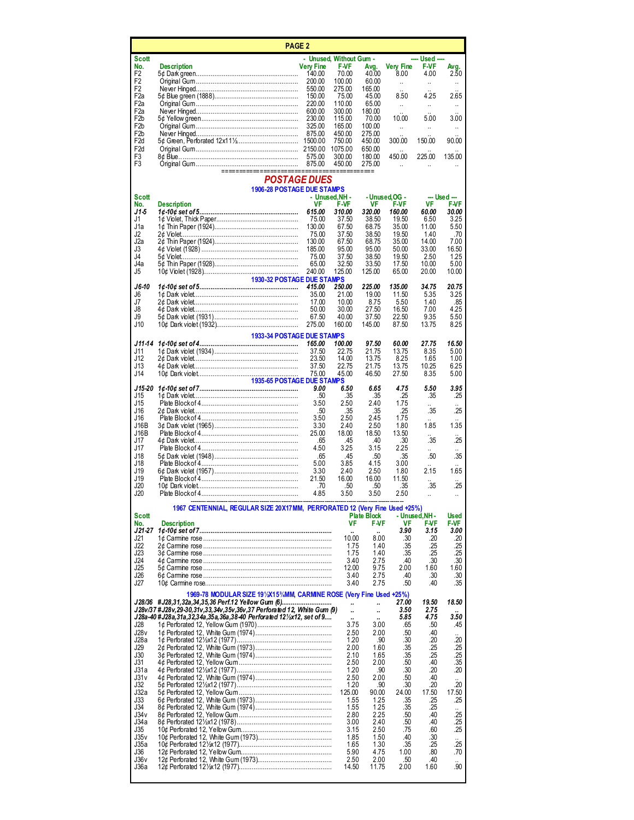| <b>PAGE 2</b>                        |                                                                                                                              |                  |                                        |                              |                               |                        |                              |
|--------------------------------------|------------------------------------------------------------------------------------------------------------------------------|------------------|----------------------------------------|------------------------------|-------------------------------|------------------------|------------------------------|
| Scott<br>No.                         | <b>Description</b>                                                                                                           | <b>Very Fine</b> | - Unused, Without Gum -<br><b>F-VF</b> | Avg.                         | Very Fine                     | ---- Used ----<br>F-VF | Avg.                         |
| F <sub>2</sub>                       |                                                                                                                              | 140.00           | 70.00                                  | 40.00                        | 8.00                          | 4.00                   | 2.50                         |
| F <sub>2</sub><br>F <sub>2</sub>     |                                                                                                                              | 200.00<br>550.00 | 100.00<br>275.00                       | 60.00<br>165.00              | $\ddot{\phantom{a}}$          | $\ddot{\phantom{1}}$   | $\ddotsc$                    |
| F <sub>2</sub> a<br>F <sub>2</sub> a |                                                                                                                              | 150.00<br>220.00 | 75.00<br>110.00                        | 45.00<br>65.00               | 8.50                          | 4.25                   | 2.65                         |
| F2a                                  |                                                                                                                              | 600.00           | 300.00                                 | 180.00                       | $\ddot{\phantom{1}}$          |                        | $\ddotsc$                    |
| F <sub>2</sub> b<br>F <sub>2</sub> b |                                                                                                                              | 230.00<br>325.00 | 115.00<br>165.00                       | 70.00<br>100.00              | 10.00<br>$\ddot{\phantom{1}}$ | 5.00<br>ä,             | 3.00<br>$\ddot{\phantom{a}}$ |
| F <sub>2</sub> b                     |                                                                                                                              | 875.00           | 450.00                                 | 275.00                       |                               |                        |                              |
| F <sub>2</sub> d<br>F <sub>2d</sub>  |                                                                                                                              |                  | 750.00<br>1075.00                      | 450.00<br>650.00             | 300.00                        | 150.00                 | 90.00                        |
| F3                                   |                                                                                                                              | 575.00           | 300.00<br>450.00                       | 180.00<br>275.00             | 450.00                        | 225.00                 | 135.00                       |
| F <sub>3</sub>                       | ======================                                                                                                       | 875.00           |                                        |                              | ä,                            |                        |                              |
|                                      | <b>POSTAGE DUES</b><br><b>1906-28 POSTAGE DUE STAMPS</b>                                                                     |                  |                                        |                              |                               |                        |                              |
| Scott<br>No.                         | <b>Description</b>                                                                                                           | VF               | - Unused.NH -<br><b>F-VF</b>           | VF                           | - Unused OG -<br><b>F-VF</b>  | VF                     | --- Used ---<br><b>F-VF</b>  |
| J1-5                                 |                                                                                                                              | 615.00           | 310.00                                 | 320.00                       | 160.00                        | 60.00                  | 30.00                        |
| J1<br>J1a                            |                                                                                                                              | 75.00<br>130.00  | 37.50<br>67.50                         | 38.50<br>68.75               | 19.50<br>35.00                | 6.50<br>11.00          | 3.25<br>5.50                 |
| J2                                   |                                                                                                                              | 75.00            | 37.50                                  | 38.50                        | 19.50                         | 1.40                   | .70                          |
| J2a<br>J3                            |                                                                                                                              | 130.00<br>185.00 | 67.50<br>95.00                         | 68.75<br>95.00               | 35.00<br>50.00                | 14.00<br>33.00         | 7.00<br>16.50                |
| J4                                   |                                                                                                                              | 75.00            | 37.50                                  | 38.50                        | 19.50                         | 2.50                   | 1.25                         |
| J4a<br>J5                            |                                                                                                                              | 65.00<br>240.00  | 32.50<br>125.00                        | 33.50<br>125.00              | 17.50<br>65.00                | 10.00<br>20.00         | 5.00<br>10.00                |
| $J6-10$                              | 1930-32 POSTAGE DUE STAMPS                                                                                                   | 415.00           | 250.00                                 | 225.00                       | 135.00                        | 34.75                  | 20.75                        |
| J6                                   |                                                                                                                              | 35.00            | 21.00                                  | 19.00                        | 11.50                         | 5.35                   | 3.25                         |
| J7<br>J8                             |                                                                                                                              | 17.00<br>50.00   | 10.00<br>30.00                         | 8.75<br>27.50                | 5.50<br>16.50                 | 1.40<br>7.00           | .85<br>4.25                  |
| J9                                   |                                                                                                                              | 67.50            | 40.00                                  | 37.50                        | 22.50                         | 9.35                   | 5.50                         |
| J10                                  |                                                                                                                              | 275.00           | 160.00                                 | 145.00                       | 87.50                         | 13.75                  | 8.25                         |
| J11-14                               | <b>1933-34 POSTAGE DUE STAMPS</b>                                                                                            | 165.00           | 100.00                                 | 97.50                        | 60.00                         | 27.75                  | 16.50                        |
| J11<br>J12                           |                                                                                                                              | 37.50<br>23.50   | 22.75<br>14.00                         | 21.75<br>13.75               | 13.75<br>8.25                 | 8.35<br>1.65           | 5.00<br>1.00                 |
| J13                                  |                                                                                                                              | 37.50            | 22.75                                  | 21.75                        | 13.75                         | 10.25                  | 6.25                         |
| J14                                  | 1935-65 POSTAGE DUE STAMPS                                                                                                   | 75.00            | 45.00                                  | 46.50                        | 27.50                         | 8.35                   | 5.00                         |
| J15-20                               |                                                                                                                              | 9.00             | 6.50                                   | 6.65                         | 4.75                          | 5.50                   | 3.95                         |
| J15<br>J15                           |                                                                                                                              | .50<br>3.50      | .35<br>2.50                            | .35<br>2.40                  | .25<br>1.75                   | .35                    | .25                          |
| J16<br>J16                           |                                                                                                                              | .50              | .35                                    | .35<br>2.45                  | .25<br>1.75                   | .35                    | .25                          |
| J16B                                 |                                                                                                                              | 3.50<br>3.30     | 2.50<br>2.40                           | 2.50                         | 1.80                          | 1.85                   | 1.35                         |
| J16B<br>J17                          |                                                                                                                              | 25.00<br>.65     | 18.00<br>.45                           | 18.50<br>.40                 | 13.50<br>.30                  | .35                    | .25                          |
| J17                                  |                                                                                                                              | 4.50             | 3.25                                   | 3.15                         | 2.25                          | u.                     |                              |
| J18<br>J18                           |                                                                                                                              | .65<br>5.00      | .45<br>3.85                            | .50<br>4.15                  | .35<br>3.00                   | .50                    | .35                          |
| J19                                  |                                                                                                                              | 3.30             | 2.40                                   | 2.50                         | 1.80                          | 2.15                   | 1.65                         |
| J19<br>J20                           |                                                                                                                              | 21.50<br>.70     | 16.00<br>50                            | 16.00<br>.50                 | 11.50<br>.35                  | .35                    | $\ddot{\phantom{a}}$<br>.25  |
| J20                                  |                                                                                                                              | 4.85             | 3.50                                   | 3.50                         | 2.50                          |                        | $\ddotsc$                    |
| <b>Scott</b>                         | 1967 CENTENNIAL, REGULAR SIZE 20X17MM, PERFORATED 12 (Very Fine Used +25%)                                                   |                  |                                        | <b>Plate Block</b>           |                               | - Unused.NH -          | <b>Used</b>                  |
| No.                                  | <b>Description</b>                                                                                                           |                  | VF                                     | <b>F-VF</b>                  | VF                            | <b>F-VF</b>            | <b>F-VF</b>                  |
| J21-27<br>J21                        |                                                                                                                              |                  | 10.00                                  | 8.00                         | 3.90<br>.30                   | 3.15<br>.20            | 3.00<br>.20                  |
| J22<br>J23                           |                                                                                                                              |                  | 1.75<br>1.75                           | 1.40<br>1.40                 | .35<br>.35                    | .25<br>.25             | .25<br>.25                   |
| J24                                  |                                                                                                                              |                  | 3.40                                   | 2.75                         | .40                           | .30                    | .30                          |
| J25<br>J26                           |                                                                                                                              |                  | 12.00<br>3.40                          | 9.75<br>2.75                 | 2.00<br>.40                   | 1.60<br>.30            | 1.60<br>.30                  |
| J27                                  |                                                                                                                              |                  | 3.40                                   | 2.75                         | .50                           | .40                    | .35                          |
|                                      | 1969-78 MODULAR SIZE 191/2X153/4MM, CARMINE ROSE (Very Fine Used +25%)<br>J28/36 #J28,31,32a,34,35,36 Perf.12 Yellow Gum (6) |                  |                                        | ä,                           | 27.00                         | 19.50                  | 18.50                        |
|                                      | J28v/37 #J28v, 29-30, 31v, 33, 34v, 35v, 36v, 37 Perforated 12, White Gum (9)                                                |                  | .,                                     | ä,                           | 3.50                          | 2.75                   |                              |
| J28                                  | J28a-40 #J28a,31a,32,34a,35a,36a,38-40 Perforated 121/2x12, set of 9                                                         |                  | $\ddot{\phantom{a}}$<br>3.75           | $\ddot{\phantom{a}}$<br>3.00 | 5.85<br>.65                   | 4.75<br>.50            | 3.50<br>.45                  |
| J28v                                 |                                                                                                                              |                  | 2.50                                   | 2.00                         | .50                           | .40                    |                              |
| J28a<br>J29                          |                                                                                                                              |                  | 1.20<br>2.00                           | .90<br>1.60                  | .30<br>.35                    | .20<br>.25             | .20<br>.25                   |
| J30<br>J31                           |                                                                                                                              |                  | 2.10                                   | 1.65                         | .35                           | .25<br>.40             | .25                          |
| J31a                                 |                                                                                                                              |                  | 2.50<br>1.20                           | 2.00<br>.90                  | .50<br>.30                    | .20                    | .35<br>.20                   |
| J31v<br>J32                          |                                                                                                                              |                  | 2.50<br>1.20                           | 2.00<br>.90                  | .50<br>.30                    | .40<br>.20             | $\ddot{\phantom{a}}$<br>.20  |
| J32a                                 |                                                                                                                              |                  | 125.00                                 | 90.00                        | 24.00                         | 17.50                  | 17.50                        |
| J33<br>J34                           |                                                                                                                              |                  | 1.55<br>1.55                           | 1.25<br>1.25                 | .35<br>.35                    | .25<br>.25             | .25                          |
| J34v                                 |                                                                                                                              |                  | 2.80                                   | 2.25                         | .50                           | .40                    | .25                          |
| J34a<br>J35                          |                                                                                                                              |                  | 3.00<br>3.15                           | 2.40<br>2.50                 | .50<br>.75                    | .40<br>.60             | .25<br>.25                   |
| J35v<br>J35a                         |                                                                                                                              |                  | 1.85                                   | 1.50<br>1.30                 | .40<br>.35                    | .30<br>.25             | $\ddot{\phantom{a}}$<br>.25  |
| J36                                  |                                                                                                                              |                  | 1.65<br>5.90                           | 4.75                         | 1.00                          | .80                    | .70                          |
| J36v<br>J36a                         |                                                                                                                              |                  | 2.50<br>14.50                          | 2.00<br>11.75                | .50<br>2.00                   | .40<br>1.60            | .90                          |
|                                      |                                                                                                                              |                  |                                        |                              |                               |                        |                              |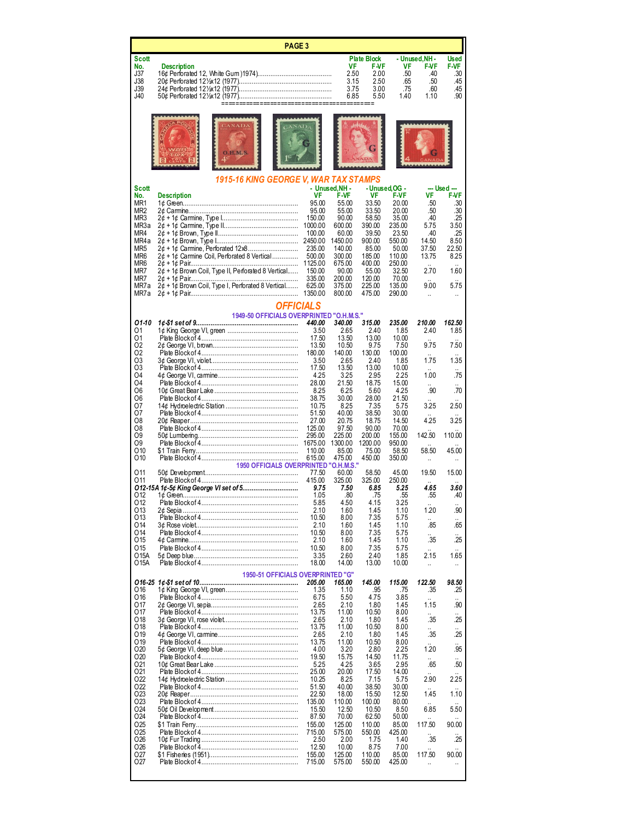| <b>PAGE 3</b>                                                                                |                                                              |                   |                   |                                   |                      |                       |                             |
|----------------------------------------------------------------------------------------------|--------------------------------------------------------------|-------------------|-------------------|-----------------------------------|----------------------|-----------------------|-----------------------------|
| Scott<br>No.                                                                                 | <b>Description</b>                                           |                   | VF                | <b>Plate Block</b><br><b>F-VF</b> | VF                   | - Unused,NH -<br>F-VF | <b>Used</b><br><b>F-VF</b>  |
| J37<br>J38                                                                                   |                                                              |                   | 2.50<br>3.15      | 2.00<br>2.50                      | .50<br>.65           | .40<br>.50            | .30<br>.45                  |
| J39<br>J40                                                                                   |                                                              |                   | 3.75<br>6.85      | 3.00<br>5.50                      | .75<br>1.40          | .60<br>1.10           | .45<br>.90                  |
|                                                                                              | ===========================                                  |                   |                   |                                   |                      |                       |                             |
|                                                                                              | <b>H.M.S</b>                                                 |                   |                   |                                   |                      |                       |                             |
| Scott                                                                                        | <b>1915-16 KING GEORGE V. WAR TAX STAMPS</b>                 |                   | - Unused, NH -    |                                   | - Unused OG -        |                       | --- Used ---                |
| No.<br>MR1                                                                                   | <b>Description</b>                                           | VF<br>95.00       | F-VF<br>55.00     | VF<br>33.50                       | <b>F-VF</b><br>20.00 | VF<br>.50             | <b>F-VF</b><br>.30          |
| MR <sub>2</sub><br>MR3                                                                       |                                                              | 95.00<br>150.00   | 55.00<br>90.00    | 33.50<br>58.50                    | 20.00<br>35.00       | .50<br>.40            | .30<br>.25                  |
| MR3a<br>MR4                                                                                  |                                                              | 1000.00<br>100.00 | 600.00<br>60.00   | 390.00<br>39.50                   | 235.00<br>23.50      | 5.75<br>.40           | 3.50<br>.25                 |
| MR4a<br>MR <sub>5</sub>                                                                      | 2¢ + 1¢ Carmine, Perforated 12x8                             | 2450.00<br>235.00 | 1450.00<br>140.00 | 900.00<br>85.00                   | 550.00<br>50.00      | 14.50<br>37.50        | 8.50<br>22.50               |
| MR6<br>MR6                                                                                   | 2¢ + 1¢ Carmine Coil, Perforated 8 Vertical                  | 500.00            | 300.00<br>675.00  | 185.00<br>400.00                  | 110.00<br>250.00     | 13.75                 | 8.25                        |
| MR7                                                                                          | 2¢ + 1¢ Brown Coil, Type II, Perforated 8 Vertical           | 1125.00<br>150.00 | 90.00             | 55.00                             | 32.50                | 2.70                  | 1.60                        |
| MR7<br>MR7a                                                                                  | 2¢ + 1¢ Brown Coil, Type I, Perforated 8 Vertical            | 335.00<br>625.00  | 200.00<br>375.00  | 120.00<br>225.00                  | 70.00<br>135.00      | 9.00                  | 5.75                        |
| MR7a                                                                                         |                                                              | 1350.00           | 800.00            | 475.00                            | 290.00               | $\ddot{\phantom{a}}$  |                             |
|                                                                                              | <b>OFFICIALS</b><br>1949-50 OFFICIALS OVERPRINTED "O.H.M.S." |                   |                   |                                   |                      |                       |                             |
| 01-10<br>01                                                                                  |                                                              | 440.00<br>3.50    | 340.00<br>2.65    | 315.00<br>2.40                    | 235.00<br>1.85       | 210.00<br>2.40        | 162.50<br>1.85              |
| 01<br>O <sub>2</sub>                                                                         |                                                              | 17.50<br>13.50    | 13.50<br>10.50    | 13.00<br>9.75                     | 10.00<br>7.50        | 9.75                  | 7.50                        |
| 02<br>O <sub>3</sub>                                                                         |                                                              | 180.00<br>3.50    | 140.00<br>2.65    | 130.00<br>2.40                    | 100.00<br>1.85       | 1.75                  | 1.35                        |
| O3<br>O <sub>4</sub>                                                                         |                                                              | 17.50             | 13.50             | 13.00                             | 10.00                |                       |                             |
| O4                                                                                           |                                                              | 4.25<br>28.00     | 3.25<br>21.50     | 2.95<br>18.75                     | 2.25<br>15.00        | 1.00<br>ä,            | .75<br>Ω.                   |
| O6<br>O6                                                                                     |                                                              | 8.25<br>38.75     | 6.25<br>30.00     | 5.60<br>28.00                     | 4.25<br>21.50        | .90                   | .70                         |
| 07<br>07                                                                                     |                                                              | 10.75<br>51.50    | 8.25<br>40.00     | 7.35<br>38.50                     | 5.75<br>30.00        | 3.25                  | 2.50                        |
| O8<br>O8                                                                                     |                                                              | 27.00<br>125.00   | 20.75<br>97.50    | 18.75<br>90.00                    | 14.50<br>70.00       | 4.25                  | 3.25                        |
| O9<br>O9                                                                                     |                                                              | 295.00<br>1675.00 | 225.00<br>1300.00 | 200.00<br>1200.00                 | 155.00<br>950.00     | 142.50                | 110.00                      |
| O <sub>10</sub><br>010                                                                       |                                                              | 110.00<br>615.00  | 85.00<br>475.00   | 75.00<br>450.00                   | 58.50<br>350.00      | 58.50                 | 45.00                       |
|                                                                                              | <b>1950 OFFICIALS OVERPRINTED "O.H.M.S."</b>                 | 77.50             |                   |                                   |                      | ä,<br>19.50           |                             |
| 011<br>011                                                                                   |                                                              | 415.00            | 60.00<br>325.00   | 58.50<br>325.00                   | 45.00<br>250.00      |                       | 15.00                       |
| 012                                                                                          | 012-15A 1¢-5¢ King George VI set of 5                        | 9.75<br>1.05      | 7.50<br>.80       | 6.85<br>.75                       | 5.25<br>.55          | 4.65<br>.55           | 3.60<br>.40                 |
| 012<br>013                                                                                   |                                                              | 5.85<br>2.10      | 4.50<br>1.60      | 4.15<br>1.45                      | 3.25<br>1.10         | 1.20                  | .90                         |
| 013<br>O14                                                                                   |                                                              | 10.50<br>2.10     | 8.00<br>1.60      | 7.35<br>1.45                      | 5.75<br>1.10         | .85                   | .65                         |
| O14<br>015                                                                                   |                                                              | 10.50<br>2.10     | 8.00<br>1.60      | 7.35<br>1.45                      | 5.75<br>1.10         | .35                   | .25                         |
| O15                                                                                          |                                                              | 10.50             | 8.00              | 7.35                              | 5.75                 |                       |                             |
| O15A<br>O15A                                                                                 |                                                              | 3.35<br>18.00     | 2.60<br>14.00     | 2.40<br>13.00                     | 1.85<br>10.00        | 2.15<br>ä,            | 1.65<br>                    |
| 1950-51 OFFICIALS OVERPRINTED "G"<br>165.00<br>145.00<br>115.00<br>122.50<br>98.50<br>205.00 |                                                              |                   |                   |                                   |                      |                       |                             |
| O <sub>16</sub><br>016                                                                       |                                                              | 1.35<br>6.75      | 1.10<br>5.50      | .95<br>4.75                       | .75<br>3.85          | .35                   | .25                         |
| 017<br>017                                                                                   |                                                              | 2.65<br>13.75     | 2.10<br>11.00     | 1.80<br>10.50                     | 1.45<br>8.00         | 1.15                  | .90                         |
| 018                                                                                          |                                                              | 2.65              | 2.10              | 1.80                              | 1.45                 | .35                   | .25                         |
| O <sub>18</sub><br>O <sub>19</sub>                                                           |                                                              | 13.75<br>2.65     | 11.00<br>2.10     | 10.50<br>1.80                     | 8.00<br>1.45         | .35                   | .25                         |
| 019<br>O <sub>20</sub>                                                                       |                                                              | 13.75<br>4.00     | 11.00<br>3.20     | 10.50<br>2.80                     | 8.00<br>2.25         | 1.20                  | $\ddot{\phantom{a}}$<br>.95 |
| O <sub>20</sub><br>021                                                                       |                                                              | 19.50<br>5.25     | 15.75<br>4.25     | 14.50<br>3.65                     | 11.75<br>2.95        | .65                   | .50                         |
| 021<br>022                                                                                   |                                                              | 25.00<br>10.25    | 20.00<br>8.25     | 17.50<br>7.15                     | 14.00<br>5.75        | 2.90                  | 2.25                        |
| 022                                                                                          |                                                              | 51.50             | 40.00             | 38.50                             | 30.00                |                       |                             |
| 023<br>023                                                                                   |                                                              | 22.50<br>135.00   | 18.00<br>110.00   | 15.50<br>100.00                   | 12.50<br>80.00       | 1.45                  | 1.10                        |
| 024<br>O24                                                                                   |                                                              | 15.50<br>87.50    | 12.50<br>70.00    | 10.50<br>62.50                    | 8.50<br>50.00        | 6.85                  | 5.50                        |
| 025<br>025                                                                                   |                                                              | 155.00<br>715.00  | 125.00<br>575.00  | 110.00<br>550.00                  | 85.00<br>425.00      | 117.50                | 90.00                       |
| 026<br>026                                                                                   |                                                              | 2.50<br>12.50     | 2.00<br>10.00     | 1.75<br>8.75                      | 1.40<br>7.00         | .35                   | .25                         |
| 027                                                                                          |                                                              | 155.00            | 125.00            | 110.00                            | 85.00                | 117.50                | 90.00                       |
| 027                                                                                          |                                                              | 715.00            | 575.00            | 550.00                            | 425.00               | ä,                    | ä,                          |